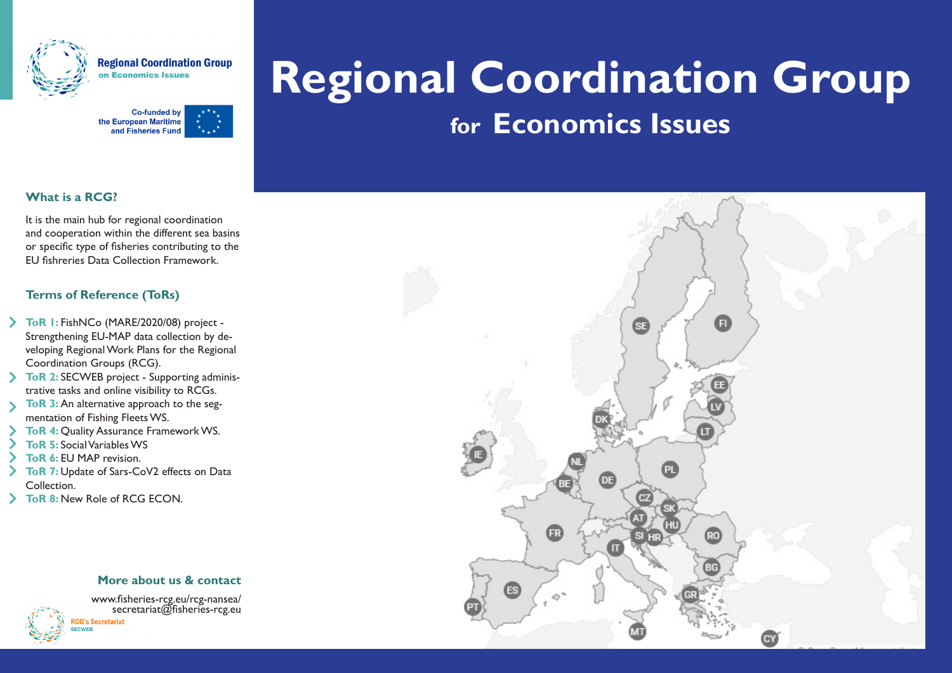

**Regional Coordination Group Economics Issues** 



# **Regional Coordination Group for Economics Issues**

## **What is a RCG?**

It is the main hub for regional coordination and cooperation within the different sea basins or specific type of fisheries contributing to the EU fishreries Data Collection Framework.

### **Terms of Reference (ToRs)**

- **ToR 1:** FishNCo (MARE/2020/08) project Strengthening EU-MAP data collection by developing Regional Work Plans for the Regional Coordination Groups (RCG).
- **ToR 2: SECWEB project Supporting adminis**trative tasks and online visibility to RCGs.
- **ToR 3:** An alternative approach to the segmentation of Fishing Fleets WS.
- **ToR 4: Quality Assurance Framework WS.**
- **ToR 5:** Social Variables WS
- **ToR 6:** EU MAP revision.
- **ToR 7:** Update of Sars-CoV2 effects on Data Collection.
- **ToR 8:** New Role of RCG ECON.

#### **More about us & contact**



www.fisheries-rcg.eu/rcg-nansea/ secretariat@fisheries-rcg.euG's Secretariat

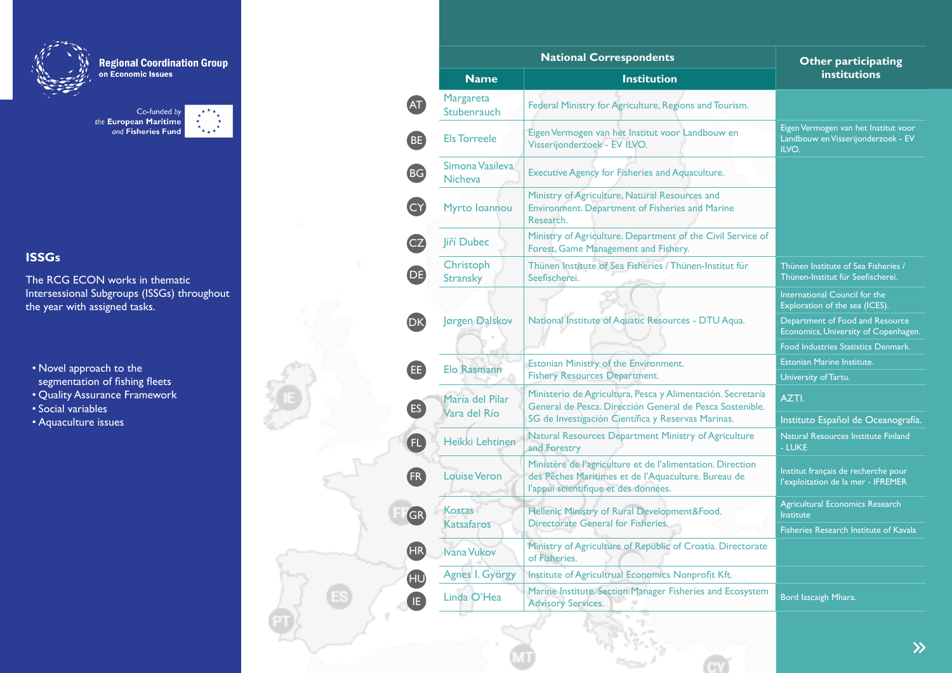

**Regional Coordination Group**<br>on Economic Issues

Co-funded by<br>the European Maritime<br>and Fisheries Fund  $\begin{array}{cc} \star & \star \\ \star & \star \\ \star & \star \end{array}$ 

# **ISSGs**

The RCG ECON works in thematic Intersessional Subgroups (ISSGs) throughout the year with assigned tasks.

- Novel approach to the segmentation of fishing fleets
- Quality Assurance Framework
- Social variables
- Aquaculture issues

|           |                                 | <b>National Correspondents</b>                                                                                                                            | <b>Other participating</b><br>institutions                                          |
|-----------|---------------------------------|-----------------------------------------------------------------------------------------------------------------------------------------------------------|-------------------------------------------------------------------------------------|
|           | <b>Name</b>                     | <b>Institution</b>                                                                                                                                        |                                                                                     |
| AT)       | Margareta<br>Stubenrauch        | Federal Ministry for Agriculture, Regions and Tourism.                                                                                                    |                                                                                     |
| <b>BE</b> | <b>Els Torreele</b>             | Eigen Vermogen van het Institut voor Landbouw en<br>Visserijonderzoek - EV ILVO.                                                                          | Eigen Vermogen van het Institut voor<br>Landbouw en Visserijonderzoek - EV<br>ILVO. |
| <b>BG</b> | Simona Vasileva<br>Nicheva      | Executive Agency for Fisheries and Aquaculture.                                                                                                           |                                                                                     |
|           | Myrto Ioannou                   | Ministry of Agriculture, Natural Resources and<br>Environment. Department of Fisheries and Marine<br>Research.                                            |                                                                                     |
| CZ        | Jiří Dubec                      | Ministry of Agriculture. Department of the Civil Service of<br>Forest, Game Management and Fishery.                                                       |                                                                                     |
| DE)       | Christoph<br><b>Stransky</b>    | Thünen Institute of Sea Fisheries / Thünen-Institut für<br>Seefischerei.                                                                                  | Thünen Institute of Sea Fisheries /<br>Thünen-Institut für Seefischerei.            |
|           |                                 |                                                                                                                                                           | International Council for the<br>Exploration of the sea (ICES).                     |
| DK)       | Jørgen Dalskov                  | National Institute of Aquatic Resources - DTU Aqua.                                                                                                       | Department of Food and Resource<br>Economics, University of Copenhagen.             |
|           |                                 |                                                                                                                                                           | Food Industries Statistics Denmark.                                                 |
| ®         | Elo Rasmann                     | Estonian Ministry of the Environment.                                                                                                                     | Estonian Marine Institute.                                                          |
|           |                                 | <b>Fishery Resources Department.</b>                                                                                                                      | University of Tartu.                                                                |
| <b>ES</b> | María del Pilar<br>Vara del Río | Ministerio de Agricultura, Pesca y Alimentación. Secretaría<br>General de Pesca. Dirección General de Pesca Sostenible.                                   | AZTI.                                                                               |
|           |                                 | SG de Investigación Científica y Reservas Marinas.                                                                                                        | Instituto Español de Oceanografía.                                                  |
| FL.       | Heikki Lehtinen                 | Natural Resources Department Ministry of Agriculture<br>and Forestry                                                                                      | Natural Resources Institute Finland<br>- LUKE                                       |
| <b>FR</b> | <b>Louise Veron</b>             | Ministère de l'agriculture et de l'alimentation. Direction<br>des Pêches Maritimes et de l'Aquaculture. Bureau de<br>l'appui scientifique et des données. | Institut français de recherche pour<br>l'exploitation de la mer - IFREMER           |
| GR)       | Kostas<br><b>Katsafaros</b>     | Hellenic Ministry of Rural Development&Food.<br>Directorate General for Fisheries.                                                                        | Agricultural Economics Research<br><b>Institute</b>                                 |
|           |                                 |                                                                                                                                                           | <b>Fisheries Research Institute of Kavala</b>                                       |
| (HR)      | <b>Ivana Vukov</b>              | Ministry of Agriculture of Republic of Croatia. Directorate<br>of Fisheries.                                                                              |                                                                                     |
| <b>ED</b> | Agnes I. György                 | Institute of Agricultrual Economics Nonprofit Kft.                                                                                                        |                                                                                     |
| IE.       | Linda O'Hea                     | Marine Institute. Section Manager Fisheries and Ecosystem<br><b>Advisory Services.</b>                                                                    | Bord lascaigh Mhara.                                                                |